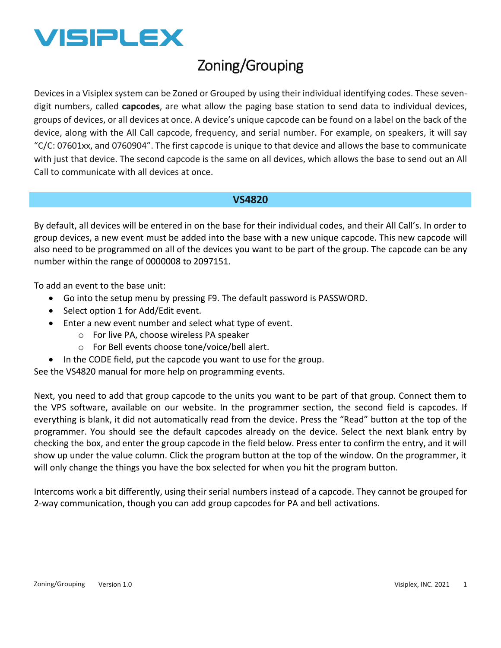

## Zoning/Grouping

Devices in a Visiplex system can be Zoned or Grouped by using their individual identifying codes. These sevendigit numbers, called **capcodes**, are what allow the paging base station to send data to individual devices, groups of devices, or all devices at once. A device's unique capcode can be found on a label on the back of the device, along with the All Call capcode, frequency, and serial number. For example, on speakers, it will say "C/C: 07601xx, and 0760904". The first capcode is unique to that device and allows the base to communicate with just that device. The second capcode is the same on all devices, which allows the base to send out an All Call to communicate with all devices at once.

## **VS4820**

By default, all devices will be entered in on the base for their individual codes, and their All Call's. In order to group devices, a new event must be added into the base with a new unique capcode. This new capcode will also need to be programmed on all of the devices you want to be part of the group. The capcode can be any number within the range of 0000008 to 2097151.

To add an event to the base unit:

- Go into the setup menu by pressing F9. The default password is PASSWORD.
- Select option 1 for Add/Edit event.
- Enter a new event number and select what type of event.
	- o For live PA, choose wireless PA speaker
	- o For Bell events choose tone/voice/bell alert.
- In the CODE field, put the capcode you want to use for the group.

See the VS4820 manual for more help on programming events.

Next, you need to add that group capcode to the units you want to be part of that group. Connect them to the VPS software, available on our website. In the programmer section, the second field is capcodes. If everything is blank, it did not automatically read from the device. Press the "Read" button at the top of the programmer. You should see the default capcodes already on the device. Select the next blank entry by checking the box, and enter the group capcode in the field below. Press enter to confirm the entry, and it will show up under the value column. Click the program button at the top of the window. On the programmer, it will only change the things you have the box selected for when you hit the program button.

Intercoms work a bit differently, using their serial numbers instead of a capcode. They cannot be grouped for 2-way communication, though you can add group capcodes for PA and bell activations.